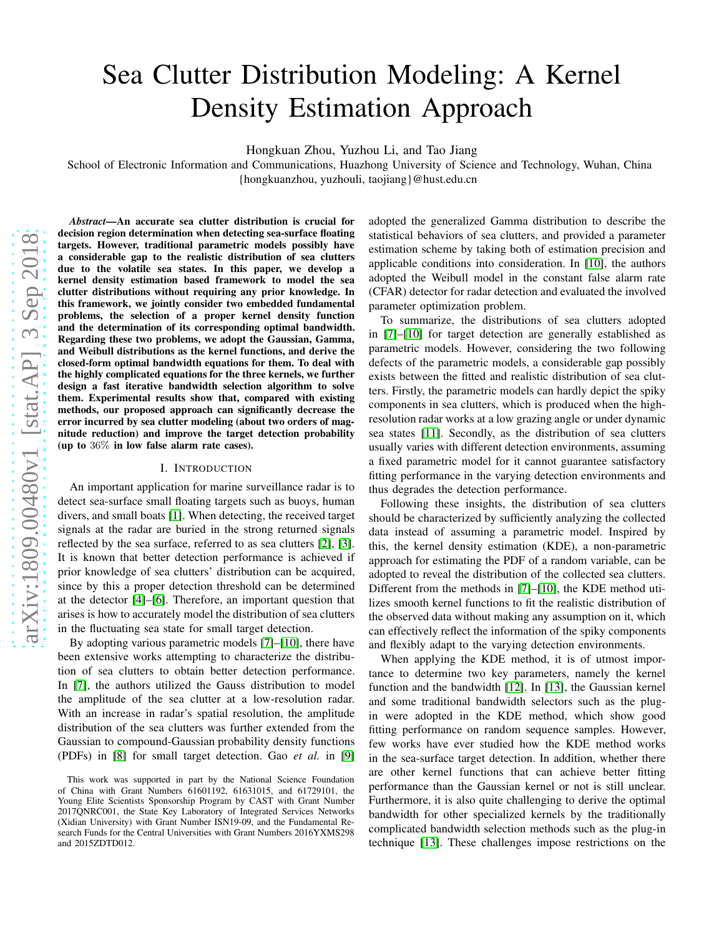# Sea Clutter Distribution Modeling: A Kernel Density Estimation Approach

Hongkuan Zhou, Yuzhou Li, and Tao Jiang

School of Electronic Information and Communications, Huazhong University of Science and Technology, Wuhan, China {hongkuanzhou, yuzhouli, taojiang}@hust.edu.cn

*Abstract*—An accurate sea clutter distribution is crucial for decision region determination when detecting sea-surface floating targets. However, traditional parametric models possibly have a considerable gap to the realistic distribution of sea clutters due to the volatile sea states. In this paper, we develop a kernel density estimation based framework to model the sea clutter distributions without requiring any prior knowledge. In this framework, we jointly consider two embedded fundamental problems, the selection of a proper kernel density function and the determination of its corresponding optimal bandwidth. Regarding these two problems, we adopt the Gaussian, Gamma, and Weibull distributions as the kernel functions, and derive the closed-form optimal bandwidth equations for them. To deal with the highly complicated equations for the three kernels, we further design a fast iterative bandwidth selection algorithm to solve them. Experimental results show that, compared with existing methods, our proposed approach can significantly decrease the error incurred by sea clutter modeling (about two orders of magnitude reduction) and improve the target detection probability (up to 36% in low false alarm rate cases).

#### I. INTRODUCTION

An important application for marine surveillance radar is to detect sea-surface small floating targets such as buoys, human divers, and small boats [\[1\]](#page-5-0). When detecting, the received target signals at the radar are buried in the strong returned signals reflected by the sea surface, referred to as sea clutters [\[2\]](#page-5-1), [\[3\]](#page-5-2). It is known that better detection performance is achieved if prior knowledge of sea clutters' distribution can be acquired, since by this a proper detection threshold can be determined at the detector [\[4\]](#page-5-3)–[\[6\]](#page-5-4). Therefore, an important question that arises is how to accurately model the distribution of sea clutters in the fluctuating sea state for small target detection.

By adopting various parametric models [\[7\]](#page-5-5)–[\[10\]](#page-5-6), there have been extensive works attempting to characterize the distribution of sea clutters to obtain better detection performance. In [\[7\]](#page-5-5), the authors utilized the Gauss distribution to model the amplitude of the sea clutter at a low-resolution radar. With an increase in radar's spatial resolution, the amplitude distribution of the sea clutters was further extended from the Gaussian to compound-Gaussian probability density functions (PDFs) in [\[8\]](#page-5-7) for small target detection. Gao *et al.* in [\[9\]](#page-5-8) adopted the generalized Gamma distribution to describe the statistical behaviors of sea clutters, and provided a parameter estimation scheme by taking both of estimation precision and applicable conditions into consideration. In [\[10\]](#page-5-6), the authors adopted the Weibull model in the constant false alarm rate (CFAR) detector for radar detection and evaluated the involved parameter optimization problem.

To summarize, the distributions of sea clutters adopted in [\[7\]](#page-5-5)–[\[10\]](#page-5-6) for target detection are generally established as parametric models. However, considering the two following defects of the parametric models, a considerable gap possibly exists between the fitted and realistic distribution of sea clutters. Firstly, the parametric models can hardly depict the spiky components in sea clutters, which is produced when the highresolution radar works at a low grazing angle or under dynamic sea states [\[11\]](#page-5-9). Secondly, as the distribution of sea clutters usually varies with different detection environments, assuming a fixed parametric model for it cannot guarantee satisfactory fitting performance in the varying detection environments and thus degrades the detection performance.

Following these insights, the distribution of sea clutters should be characterized by sufficiently analyzing the collected data instead of assuming a parametric model. Inspired by this, the kernel density estimation (KDE), a non-parametric approach for estimating the PDF of a random variable, can be adopted to reveal the distribution of the collected sea clutters. Different from the methods in [\[7\]](#page-5-5)–[\[10\]](#page-5-6), the KDE method utilizes smooth kernel functions to fit the realistic distribution of the observed data without making any assumption on it, which can effectively reflect the information of the spiky components and flexibly adapt to the varying detection environments.

When applying the KDE method, it is of utmost importance to determine two key parameters, namely the kernel function and the bandwidth [\[12\]](#page-5-10). In [\[13\]](#page-5-11), the Gaussian kernel and some traditional bandwidth selectors such as the plugin were adopted in the KDE method, which show good fitting performance on random sequence samples. However, few works have ever studied how the KDE method works in the sea-surface target detection. In addition, whether there are other kernel functions that can achieve better fitting performance than the Gaussian kernel or not is still unclear. Furthermore, it is also quite challenging to derive the optimal bandwidth for other specialized kernels by the traditionally complicated bandwidth selection methods such as the plug-in technique [\[13\]](#page-5-11). These challenges impose restrictions on the

This work was supported in part by the National Science Foundation of China with Grant Numbers 61601192, 61631015, and 61729101, the Young Elite Scientists Sponsorship Program by CAST with Grant Number 2017QNRC001, the State Key Laboratory of Integrated Services Networks (Xidian University) with Grant Number ISN19-09, and the Fundamental Research Funds for the Central Universities with Grant Numbers 2016YXMS298 and 2015ZDTD012.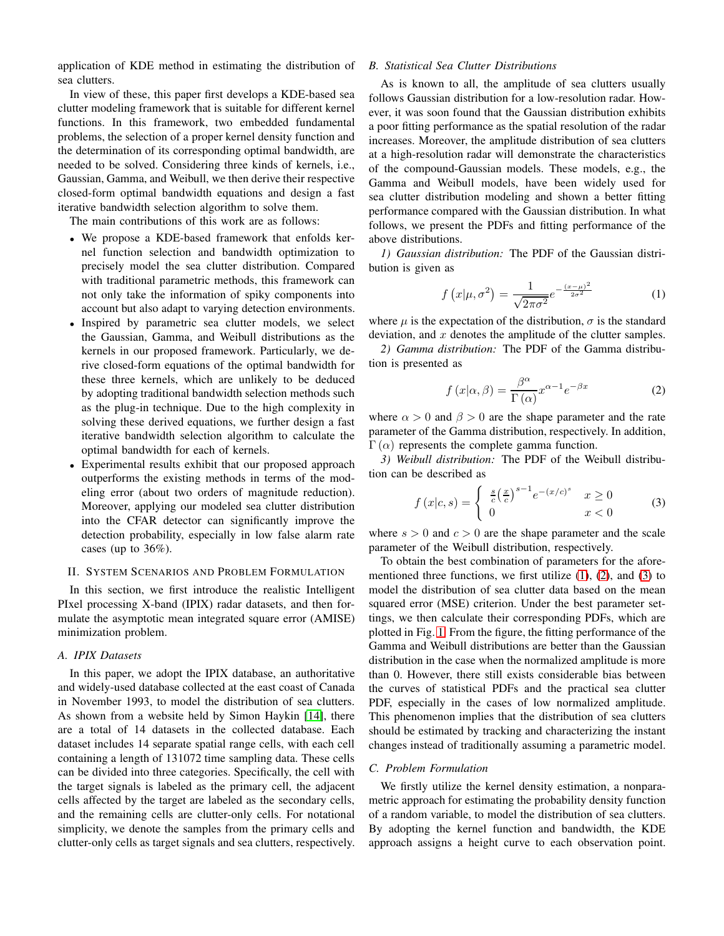application of KDE method in estimating the distribution of sea clutters.

In view of these, this paper first develops a KDE-based sea clutter modeling framework that is suitable for different kernel functions. In this framework, two embedded fundamental problems, the selection of a proper kernel density function and the determination of its corresponding optimal bandwidth, are needed to be solved. Considering three kinds of kernels, i.e., Gaussian, Gamma, and Weibull, we then derive their respective closed-form optimal bandwidth equations and design a fast iterative bandwidth selection algorithm to solve them.

The main contributions of this work are as follows:

- We propose a KDE-based framework that enfolds kernel function selection and bandwidth optimization to precisely model the sea clutter distribution. Compared with traditional parametric methods, this framework can not only take the information of spiky components into account but also adapt to varying detection environments.
- Inspired by parametric sea clutter models, we select the Gaussian, Gamma, and Weibull distributions as the kernels in our proposed framework. Particularly, we derive closed-form equations of the optimal bandwidth for these three kernels, which are unlikely to be deduced by adopting traditional bandwidth selection methods such as the plug-in technique. Due to the high complexity in solving these derived equations, we further design a fast iterative bandwidth selection algorithm to calculate the optimal bandwidth for each of kernels.
- Experimental results exhibit that our proposed approach outperforms the existing methods in terms of the modeling error (about two orders of magnitude reduction). Moreover, applying our modeled sea clutter distribution into the CFAR detector can significantly improve the detection probability, especially in low false alarm rate cases (up to  $36\%$ ).

### II. SYSTEM SCENARIOS AND PROBLEM FORMULATION

In this section, we first introduce the realistic Intelligent PIxel processing X-band (IPIX) radar datasets, and then formulate the asymptotic mean integrated square error (AMISE) minimization problem.

#### *A. IPIX Datasets*

In this paper, we adopt the IPIX database, an authoritative and widely-used database collected at the east coast of Canada in November 1993, to model the distribution of sea clutters. As shown from a website held by Simon Haykin [\[14\]](#page-5-12), there are a total of 14 datasets in the collected database. Each dataset includes 14 separate spatial range cells, with each cell containing a length of 131072 time sampling data. These cells can be divided into three categories. Specifically, the cell with the target signals is labeled as the primary cell, the adjacent cells affected by the target are labeled as the secondary cells, and the remaining cells are clutter-only cells. For notational simplicity, we denote the samples from the primary cells and clutter-only cells as target signals and sea clutters, respectively.

### *B. Statistical Sea Clutter Distributions*

As is known to all, the amplitude of sea clutters usually follows Gaussian distribution for a low-resolution radar. However, it was soon found that the Gaussian distribution exhibits a poor fitting performance as the spatial resolution of the radar increases. Moreover, the amplitude distribution of sea clutters at a high-resolution radar will demonstrate the characteristics of the compound-Gaussian models. These models, e.g., the Gamma and Weibull models, have been widely used for sea clutter distribution modeling and shown a better fitting performance compared with the Gaussian distribution. In what follows, we present the PDFs and fitting performance of the above distributions.

*1) Gaussian distribution:* The PDF of the Gaussian distribution is given as

<span id="page-1-0"></span>
$$
f(x|\mu, \sigma^2) = \frac{1}{\sqrt{2\pi\sigma^2}} e^{-\frac{(x-\mu)^2}{2\sigma^2}}
$$
 (1)

where  $\mu$  is the expectation of the distribution,  $\sigma$  is the standard deviation, and  $x$  denotes the amplitude of the clutter samples.

*2) Gamma distribution:* The PDF of the Gamma distribution is presented as

<span id="page-1-1"></span>
$$
f(x|\alpha, \beta) = \frac{\beta^{\alpha}}{\Gamma(\alpha)} x^{\alpha - 1} e^{-\beta x}
$$
 (2)

where  $\alpha > 0$  and  $\beta > 0$  are the shape parameter and the rate parameter of the Gamma distribution, respectively. In addition,  $Γ(α)$  represents the complete gamma function.

*3) Weibull distribution:* The PDF of the Weibull distribution can be described as

<span id="page-1-2"></span>
$$
f(x|c,s) = \begin{cases} \frac{s}{c} \left(\frac{x}{c}\right)^{s-1} e^{-(x/c)^s} & x \ge 0\\ 0 & x < 0 \end{cases} \tag{3}
$$

where  $s > 0$  and  $c > 0$  are the shape parameter and the scale parameter of the Weibull distribution, respectively.

To obtain the best combination of parameters for the aforementioned three functions, we first utilize  $(1)$ ,  $(2)$ , and  $(3)$  to model the distribution of sea clutter data based on the mean squared error (MSE) criterion. Under the best parameter settings, we then calculate their corresponding PDFs, which are plotted in Fig. [1.](#page-2-0) From the figure, the fitting performance of the Gamma and Weibull distributions are better than the Gaussian distribution in the case when the normalized amplitude is more than 0. However, there still exists considerable bias between the curves of statistical PDFs and the practical sea clutter PDF, especially in the cases of low normalized amplitude. This phenomenon implies that the distribution of sea clutters should be estimated by tracking and characterizing the instant changes instead of traditionally assuming a parametric model.

# <span id="page-1-3"></span>*C. Problem Formulation*

We firstly utilize the kernel density estimation, a nonparametric approach for estimating the probability density function of a random variable, to model the distribution of sea clutters. By adopting the kernel function and bandwidth, the KDE approach assigns a height curve to each observation point.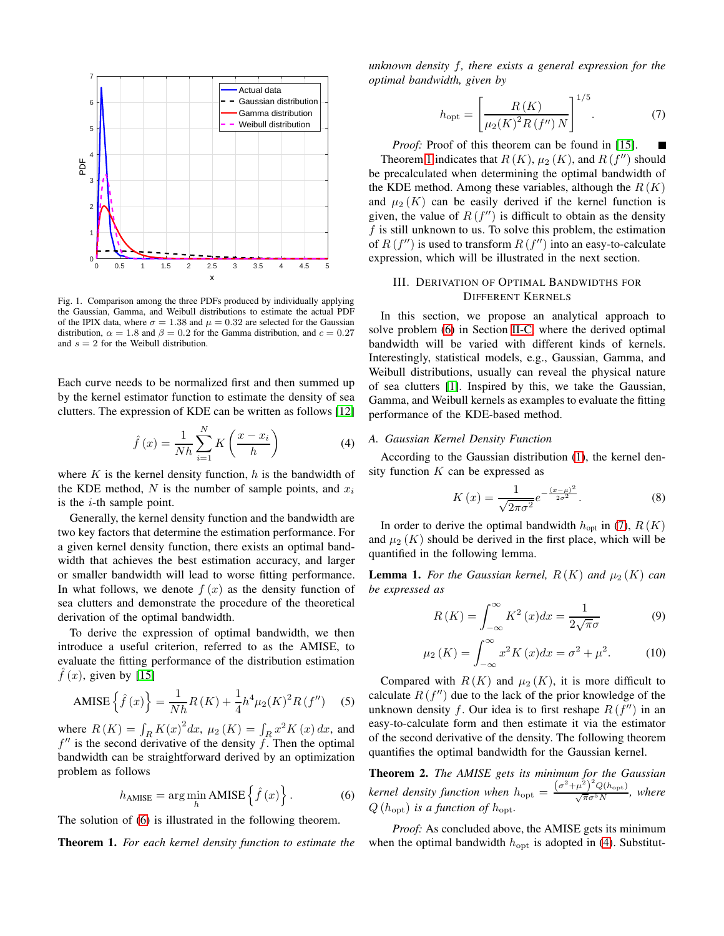

<span id="page-2-0"></span>Fig. 1. Comparison among the three PDFs produced by individually applying the Gaussian, Gamma, and Weibull distributions to estimate the actual PDF of the IPIX data, where  $\sigma = 1.38$  and  $\mu = 0.32$  are selected for the Gaussian distribution,  $\alpha = 1.8$  and  $\beta = 0.2$  for the Gamma distribution, and  $c = 0.27$ and  $s = 2$  for the Weibull distribution.

Each curve needs to be normalized first and then summed up by the kernel estimator function to estimate the density of sea clutters. The expression of KDE can be written as follows [\[12\]](#page-5-10)

<span id="page-2-4"></span>
$$
\hat{f}\left(x\right) = \frac{1}{Nh} \sum_{i=1}^{N} K\left(\frac{x - x_i}{h}\right) \tag{4}
$$

where  $K$  is the kernel density function,  $h$  is the bandwidth of the KDE method, N is the number of sample points, and  $x_i$ is the  $i$ -th sample point.

Generally, the kernel density function and the bandwidth are two key factors that determine the estimation performance. For a given kernel density function, there exists an optimal bandwidth that achieves the best estimation accuracy, and larger or smaller bandwidth will lead to worse fitting performance. In what follows, we denote  $f(x)$  as the density function of sea clutters and demonstrate the procedure of the theoretical derivation of the optimal bandwidth.

To derive the expression of optimal bandwidth, we then introduce a useful criterion, referred to as the AMISE, to evaluate the fitting performance of the distribution estimation  $\tilde{f}(x)$ , given by [\[15\]](#page-5-13)

AMISE 
$$
\left\{ \hat{f}(x) \right\} = \frac{1}{Nh} R(K) + \frac{1}{4} h^4 \mu_2(K)^2 R(f'')
$$
 (5)

where  $R(K) = \int_R K(x)^2 dx$ ,  $\mu_2(K) = \int_R x^2 K(x) dx$ , and  $f''$  is the second derivative of the density f. Then the optimal bandwidth can be straightforward derived by an optimization problem as follows

<span id="page-2-1"></span>
$$
h_{\text{AMISE}} = \arg\min_{h} \text{AMISE}\left\{\hat{f}\left(x\right)\right\}.\tag{6}
$$

The solution of [\(6\)](#page-2-1) is illustrated in the following theorem.

<span id="page-2-2"></span>Theorem 1. *For each kernel density function to estimate the*

*unknown density* f*, there exists a general expression for the optimal bandwidth, given by*

<span id="page-2-3"></span>
$$
h_{\rm opt} = \left[\frac{R(K)}{\mu_2(K)^2 R(f'')N}\right]^{1/5}.
$$
 (7)

*Proof:* Proof of this theorem can be found in [\[15\]](#page-5-13). Theorem [1](#page-2-2) indicates that  $R(K)$ ,  $\mu_2(K)$ , and  $R(f'')$  should be precalculated when determining the optimal bandwidth of the KDE method. Among these variables, although the  $R(K)$ and  $\mu_2(K)$  can be easily derived if the kernel function is given, the value of  $R(f'')$  is difficult to obtain as the density f is still unknown to us. To solve this problem, the estimation of  $R(f'')$  is used to transform  $R(f'')$  into an easy-to-calculate expression, which will be illustrated in the next section.

### III. DERIVATION OF OPTIMAL BANDWIDTHS FOR DIFFERENT KERNELS

In this section, we propose an analytical approach to solve problem [\(6\)](#page-2-1) in Section [II-C,](#page-1-3) where the derived optimal bandwidth will be varied with different kinds of kernels. Interestingly, statistical models, e.g., Gaussian, Gamma, and Weibull distributions, usually can reveal the physical nature of sea clutters [\[1\]](#page-5-0). Inspired by this, we take the Gaussian, Gamma, and Weibull kernels as examples to evaluate the fitting performance of the KDE-based method.

#### *A. Gaussian Kernel Density Function*

According to the Gaussian distribution [\(1\)](#page-1-0), the kernel density function  $K$  can be expressed as

$$
K(x) = \frac{1}{\sqrt{2\pi\sigma^2}} e^{-\frac{(x-\mu)^2}{2\sigma^2}}.
$$
 (8)

In order to derive the optimal bandwidth  $h_{opt}$  in [\(7\)](#page-2-3),  $R(K)$ and  $\mu_2(K)$  should be derived in the first place, which will be quantified in the following lemma.

<span id="page-2-7"></span>**Lemma 1.** For the Gaussian kernel,  $R(K)$  and  $\mu_2(K)$  can *be expressed as*

<span id="page-2-5"></span>
$$
R(K) = \int_{-\infty}^{\infty} K^2(x) dx = \frac{1}{2\sqrt{\pi}\sigma}
$$
 (9)

<span id="page-2-6"></span>
$$
\mu_2(K) = \int_{-\infty}^{\infty} x^2 K(x) dx = \sigma^2 + \mu^2.
$$
 (10)

Compared with  $R(K)$  and  $\mu_2(K)$ , it is more difficult to calculate  $R(f'')$  due to the lack of the prior knowledge of the unknown density f. Our idea is to first reshape  $R(f'')$  in an easy-to-calculate form and then estimate it via the estimator of the second derivative of the density. The following theorem quantifies the optimal bandwidth for the Gaussian kernel.

<span id="page-2-8"></span>Theorem 2. *The AMISE gets its minimum for the Gaussian kernel density function when*  $h_{opt} = \frac{(\sigma^2 + \mu^2)^2 Q(h_{opt})}{\sqrt{\pi} \sigma^5 N}$ , where  $Q(h_{\text{opt}})$  *is a function of*  $h_{\text{opt}}$ *.* 

*Proof:* As concluded above, the AMISE gets its minimum when the optimal bandwidth  $h_{\text{opt}}$  is adopted in [\(4\)](#page-2-4). Substitut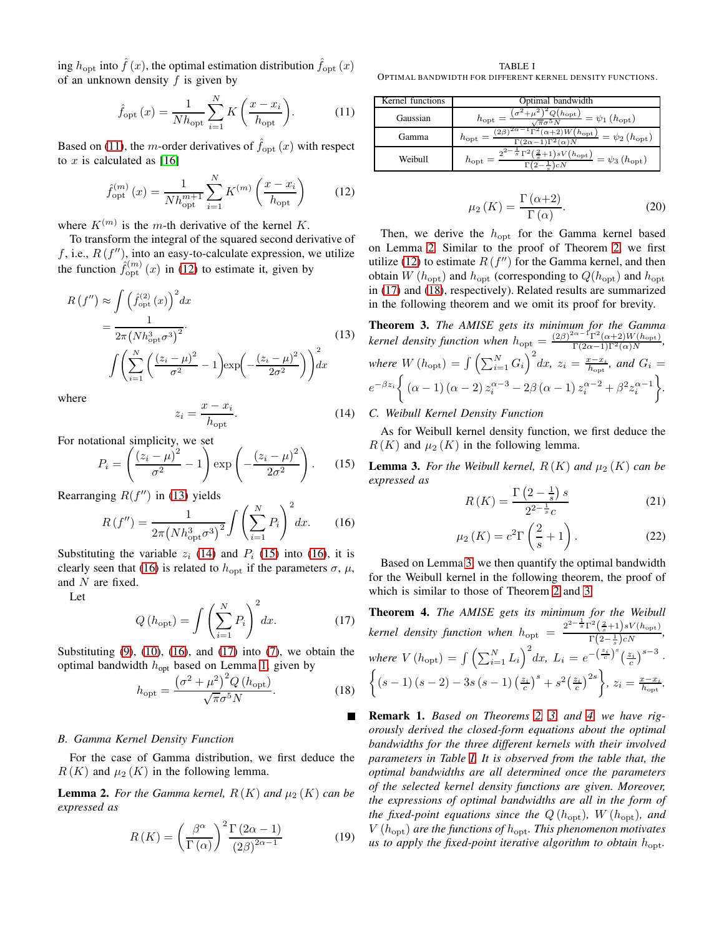ing  $h_{\text{opt}}$  into  $\hat{f}(x)$ , the optimal estimation distribution  $\hat{f}_{\text{opt}}(x)$ of an unknown density  $f$  is given by

<span id="page-3-0"></span>
$$
\hat{f}_{\text{opt}}\left(x\right) = \frac{1}{N h_{\text{opt}}} \sum_{i=1}^{N} K\left(\frac{x - x_i}{h_{\text{opt}}}\right). \tag{11}
$$

Based on [\(11\)](#page-3-0), the *m*-order derivatives of  $\hat{f}_{opt}(x)$  with respect to x is calculated as  $[16]$ 

<span id="page-3-1"></span>
$$
\hat{f}_{\text{opt}}^{(m)}(x) = \frac{1}{N h_{\text{opt}}^{m+1}} \sum_{i=1}^{N} K^{(m)} \left( \frac{x - x_i}{h_{\text{opt}}} \right) \tag{12}
$$

where  $K^{(m)}$  is the m-th derivative of the kernel K.

To transform the integral of the squared second derivative of f, i.e.,  $R(f'')$ , into an easy-to-calculate expression, we utilize the function  $\hat{f}_{\text{opt}}^{(m)}(x)$  in [\(12\)](#page-3-1) to estimate it, given by

<span id="page-3-2"></span>
$$
R(f'') \approx \int \left(\hat{f}_{\text{opt}}^{(2)}(x)\right)^2 dx
$$
  
= 
$$
\frac{1}{2\pi (Nh_{\text{opt}}^3 \sigma^3)^2}.
$$
  

$$
\int \left(\sum_{i=1}^N \left(\frac{(z_i - \mu)^2}{\sigma^2} - 1\right) \exp\left(-\frac{(z_i - \mu)^2}{2\sigma^2}\right)\right) dx
$$
 (13)

where

<span id="page-3-3"></span>
$$
z_i = \frac{x - x_i}{h_{\text{opt}}}.\tag{14}
$$

For notational simplicity, we set

<span id="page-3-4"></span>
$$
P_i = \left(\frac{(z_i - \mu)^2}{\sigma^2} - 1\right) \exp\left(-\frac{(z_i - \mu)^2}{2\sigma^2}\right). \tag{15}
$$

Rearranging  $R(f'')$  in [\(13\)](#page-3-2) yields

<span id="page-3-5"></span>
$$
R(f'') = \frac{1}{2\pi (Nh_{\rm opt}^3 \sigma^3)^2} \int \left(\sum_{i=1}^N P_i\right)^2 dx.
$$
 (16)

Substituting the variable  $z_i$  [\(14\)](#page-3-3) and  $P_i$  [\(15\)](#page-3-4) into [\(16\)](#page-3-5), it is clearly seen that [\(16\)](#page-3-5) is related to  $h_{\text{opt}}$  if the parameters  $\sigma$ ,  $\mu$ , and N are fixed.

Let

<span id="page-3-6"></span>
$$
Q\left(h_{\text{opt}}\right) = \int \left(\sum_{i=1}^{N} P_i\right)^2 dx. \tag{17}
$$

Substituting  $(9)$ ,  $(10)$ ,  $(16)$ , and  $(17)$  into  $(7)$ , we obtain the optimal bandwidth  $h_{opt}$  based on Lemma [1,](#page-2-7) given by

<span id="page-3-8"></span>
$$
h_{\rm opt} = \frac{\left(\sigma^2 + \mu^2\right)^2 Q \left(h_{\rm opt}\right)}{\sqrt{\pi} \sigma^5 N}.
$$
 (18)

#### *B. Gamma Kernel Density Function*

For the case of Gamma distribution, we first deduce the  $R(K)$  and  $\mu_2(K)$  in the following lemma.

<span id="page-3-7"></span>**Lemma 2.** For the Gamma kernel,  $R(K)$  and  $\mu_2(K)$  can be *expressed as*

$$
R(K) = \left(\frac{\beta^{\alpha}}{\Gamma(\alpha)}\right)^{2} \frac{\Gamma(2\alpha - 1)}{(2\beta)^{2\alpha - 1}} \tag{19}
$$

<span id="page-3-12"></span>TABLE I OPTIMAL BANDWIDTH FOR DIFFERENT KERNEL DENSITY FUNCTIONS.

| Kernel functions | Optimal bandwidth                                                                                                                                    |
|------------------|------------------------------------------------------------------------------------------------------------------------------------------------------|
| Gaussian         | $\frac{(h_{\rm opt})}{(h_{\rm opt})} = \psi_1(h_{\rm opt})$<br>$h_{\text{opt}}$<br>$\pi\sigma$                                                       |
| Gamma            | ʻ26<br>-) $\overline{W(\textcolor{blue}{h_\text{opt}})}} = \psi_2\left(\textcolor{red}{h_\text{opt}}\right)$<br>$h_{\rm opt}$<br>$\Gamma(2\alpha-1)$ |
| Weibull          | $\frac{1}{s}\overline{\Gamma^2(\frac{2}{s}+1)}\frac{sV(h_{\rm opt})}{s} = \psi_3(h_{\rm opt})$<br>$h_{\rm opt}$<br>) c.N                             |

$$
\mu_2(K) = \frac{\Gamma(\alpha+2)}{\Gamma(\alpha)}.
$$
\n(20)

Then, we derive the  $h_{\text{opt}}$  for the Gamma kernel based on Lemma [2.](#page-3-7) Similar to the proof of Theorem [2,](#page-2-8) we first utilize [\(12\)](#page-3-1) to estimate  $R(f'')$  for the Gamma kernel, and then obtain  $W(h_{\text{opt}})$  and  $h_{\text{opt}}$  (corresponding to  $Q(h_{\text{opt}})$  and  $h_{\text{opt}}$ ) in [\(17\)](#page-3-6) and [\(18\)](#page-3-8), respectively). Related results are summarized in the following theorem and we omit its proof for brevity.

<span id="page-3-10"></span>Theorem 3. *The AMISE gets its minimum for the Gamma kernel density function when*  $h_{opt} = \frac{(2\beta)^{2\alpha - 1} \Gamma^2(\alpha+2) W(h_{opt})}{\Gamma(2\alpha-1)\Gamma^2(\alpha)N}$ , *where*  $W(h_{\text{opt}}) = \int \left(\sum_{i=1}^{N} G_i\right)^2 dx$ ,  $z_i = \frac{x - x_i}{h_{\text{opt}}}$ , and  $G_i =$  $e^{-\beta z_i} \left\{ (\alpha - 1) (\alpha - 2) z_i^{\alpha - 3} - 2\beta (\alpha - 1) z_i^{\alpha - 2} + \beta^2 z_i^{\alpha - 1} \right\}$ *.*

## *C. Weibull Kernel Density Function*

As for Weibull kernel density function, we first deduce the  $R(K)$  and  $\mu_2(K)$  in the following lemma.

<span id="page-3-9"></span>**Lemma 3.** For the Weibull kernel,  $R(K)$  and  $\mu_2(K)$  can be *expressed as*

$$
R(K) = \frac{\Gamma\left(2 - \frac{1}{s}\right)s}{2^{2 - \frac{1}{s}}c} \tag{21}
$$

$$
\mu_2(K) = c^2 \Gamma\left(\frac{2}{s} + 1\right). \tag{22}
$$

Based on Lemma [3,](#page-3-9) we then quantify the optimal bandwidth for the Weibull kernel in the following theorem, the proof of which is similar to those of Theorem [2](#page-2-8) and [3.](#page-3-10)

<span id="page-3-11"></span>Theorem 4. *The AMISE gets its minimum for the Weibull kernel density function when*  $h_{\text{opt}} = \frac{2^{2-\frac{1}{s}} \Gamma^2(\frac{2}{s}+1)sV(h_{\text{opt}})}{\Gamma(s-1)sM}$  $\frac{\left(s+1\right)s\mathbf{v}\left(n_{\text{opt}}\right)}{\Gamma\left(2-\frac{1}{s}\right)cN},$ where  $V(h_{\text{opt}}) = \int \left(\sum_{i=1}^{N} L_i\right)^2 dx$ ,  $L_i = e^{-\left(\frac{z_i}{c}\right)^s \left(\frac{z_i}{c}\right)^{s-3}}$ .  $\left\{ (s-1)(s-2) - 3s(s-1)(\frac{z_i}{c})^s + s^2(\frac{z_i}{c})^{2s} \right\}, z_i = \frac{x - x_i}{h_{\text{opt}}}.$ 

Remark 1. *Based on Theorems [2,](#page-2-8) [3,](#page-3-10) and [4,](#page-3-11) we have rigorously derived the closed-form equations about the optimal bandwidths for the three different kernels with their involved parameters in Table [I.](#page-3-12) It is observed from the table that, the optimal bandwidths are all determined once the parameters of the selected kernel density functions are given. Moreover, the expressions of optimal bandwidths are all in the form of the fixed-point equations since the*  $Q(h_{opt})$ *, W* ( $h_{opt}$ )*, and*  $V(h_{\text{opt}})$  are the functions of  $h_{\text{opt}}$ . This phenomenon motivates *us to apply the fixed-point iterative algorithm to obtain*  $h_{\text{opt}}$ .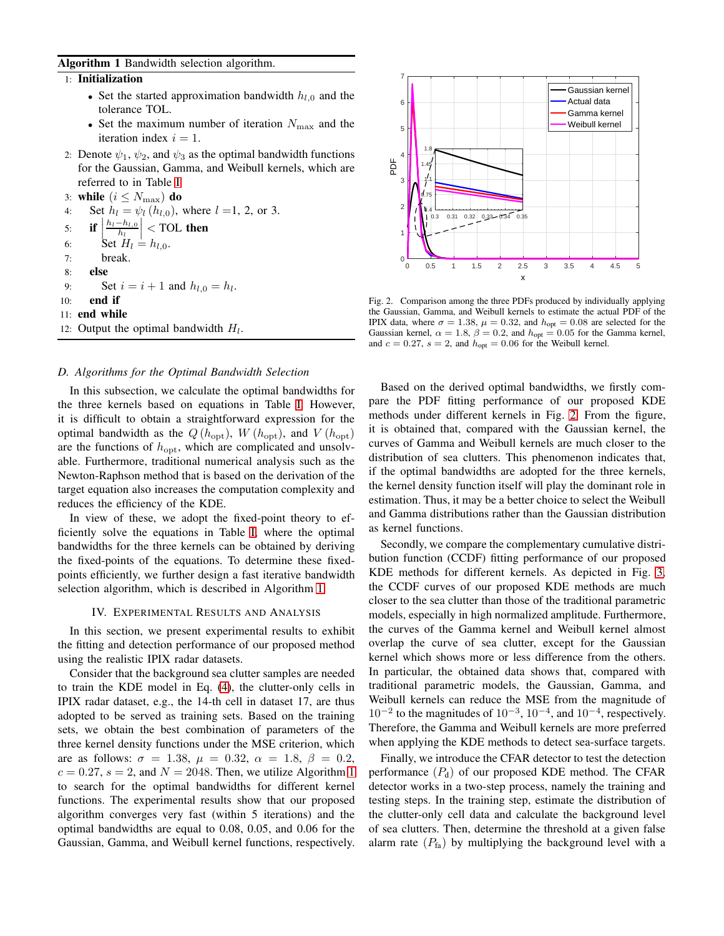#### <span id="page-4-0"></span>Algorithm 1 Bandwidth selection algorithm.

1: Initialization

- Set the started approximation bandwidth  $h_{l,0}$  and the tolerance TOL.
- Set the maximum number of iteration  $N_{\text{max}}$  and the iteration index  $i = 1$ .
- 2: Denote  $\psi_1$ ,  $\psi_2$ , and  $\psi_3$  as the optimal bandwidth functions for the Gaussian, Gamma, and Weibull kernels, which are referred to in Table [I.](#page-3-12)

3: **while**  $(i \leq N_{\text{max}})$  **do**<br>4: Set  $h_l = \psi_l(h_{l,0})$ .

Set  $h_l = \psi_l(h_{l,0})$ , where  $l = 1, 2$ , or 3.

5: **if** 
$$
\left| \frac{h_l - h_{l,0}}{h_l} \right|
$$
 **7OL then**  
6: **Set**  $H_l = h_{l,0}$ .

- 
- 7: break.
- 8: else

9: Set  $i = i + 1$  and  $h_{l,0} = h_l$ .

- 10: end if
- 11: end while
- 12: Output the optimal bandwidth  $H<sub>l</sub>$ .

#### *D. Algorithms for the Optimal Bandwidth Selection*

In this subsection, we calculate the optimal bandwidths for the three kernels based on equations in Table [I.](#page-3-12) However, it is difficult to obtain a straightforward expression for the optimal bandwidth as the  $Q(h_{\text{opt}}), W(h_{\text{opt}})$ , and  $V(h_{\text{opt}})$ are the functions of  $h_{\text{opt}}$ , which are complicated and unsolvable. Furthermore, traditional numerical analysis such as the Newton-Raphson method that is based on the derivation of the target equation also increases the computation complexity and reduces the efficiency of the KDE.

In view of these, we adopt the fixed-point theory to efficiently solve the equations in Table [I,](#page-3-12) where the optimal bandwidths for the three kernels can be obtained by deriving the fixed-points of the equations. To determine these fixedpoints efficiently, we further design a fast iterative bandwidth selection algorithm, which is described in Algorithm [1.](#page-4-0)

### IV. EXPERIMENTAL RESULTS AND ANALYSIS

In this section, we present experimental results to exhibit the fitting and detection performance of our proposed method using the realistic IPIX radar datasets.

Consider that the background sea clutter samples are needed to train the KDE model in Eq. [\(4\)](#page-2-4), the clutter-only cells in IPIX radar dataset, e.g., the 14-th cell in dataset 17, are thus adopted to be served as training sets. Based on the training sets, we obtain the best combination of parameters of the three kernel density functions under the MSE criterion, which are as follows:  $\sigma = 1.38$ ,  $\mu = 0.32$ ,  $\alpha = 1.8$ ,  $\beta = 0.2$ ,  $c = 0.27$ ,  $s = 2$ , and  $N = 2048$ . Then, we utilize Algorithm [1](#page-4-0) to search for the optimal bandwidths for different kernel functions. The experimental results show that our proposed algorithm converges very fast (within 5 iterations) and the optimal bandwidths are equal to 0.08, 0.05, and 0.06 for the Gaussian, Gamma, and Weibull kernel functions, respectively.



<span id="page-4-1"></span>Fig. 2. Comparison among the three PDFs produced by individually applying the Gaussian, Gamma, and Weibull kernels to estimate the actual PDF of the IPIX data, where  $\sigma = 1.38$ ,  $\mu = 0.32$ , and  $h_{opt} = 0.08$  are selected for the Gaussian kernel,  $\alpha = 1.8$ ,  $\beta = 0.2$ , and  $h_{opt} = 0.05$  for the Gamma kernel, and  $c = 0.27$ ,  $s = 2$ , and  $h_{opt} = 0.06$  for the Weibull kernel.

Based on the derived optimal bandwidths, we firstly compare the PDF fitting performance of our proposed KDE methods under different kernels in Fig. [2.](#page-4-1) From the figure, it is obtained that, compared with the Gaussian kernel, the curves of Gamma and Weibull kernels are much closer to the distribution of sea clutters. This phenomenon indicates that, if the optimal bandwidths are adopted for the three kernels, the kernel density function itself will play the dominant role in estimation. Thus, it may be a better choice to select the Weibull and Gamma distributions rather than the Gaussian distribution as kernel functions.

Secondly, we compare the complementary cumulative distribution function (CCDF) fitting performance of our proposed KDE methods for different kernels. As depicted in Fig. [3,](#page-5-15) the CCDF curves of our proposed KDE methods are much closer to the sea clutter than those of the traditional parametric models, especially in high normalized amplitude. Furthermore, the curves of the Gamma kernel and Weibull kernel almost overlap the curve of sea clutter, except for the Gaussian kernel which shows more or less difference from the others. In particular, the obtained data shows that, compared with traditional parametric models, the Gaussian, Gamma, and Weibull kernels can reduce the MSE from the magnitude of  $10^{-2}$  to the magnitudes of  $10^{-3}$ ,  $10^{-4}$ , and  $10^{-4}$ , respectively. Therefore, the Gamma and Weibull kernels are more preferred when applying the KDE methods to detect sea-surface targets.

Finally, we introduce the CFAR detector to test the detection performance  $(P_d)$  of our proposed KDE method. The CFAR detector works in a two-step process, namely the training and testing steps. In the training step, estimate the distribution of the clutter-only cell data and calculate the background level of sea clutters. Then, determine the threshold at a given false alarm rate  $(P<sub>fa</sub>)$  by multiplying the background level with a